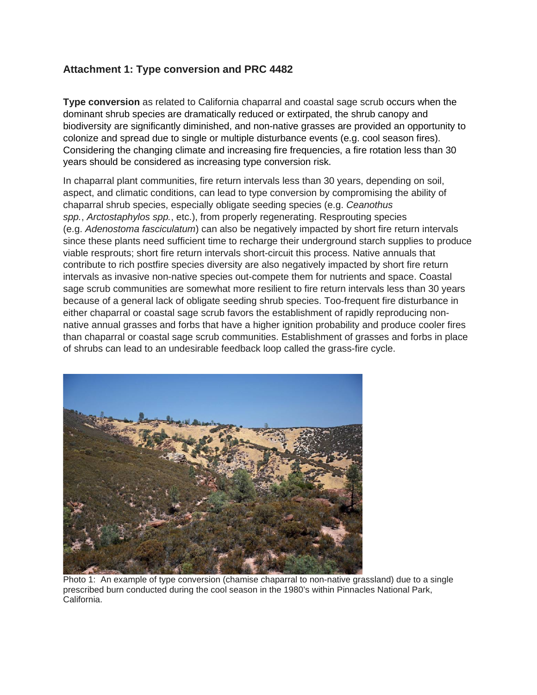## **Attachment 1: Type conversion and PRC 4482**

**Type conversion** as related to California chaparral and coastal sage scrub occurs when the dominant shrub species are dramatically reduced or extirpated, the shrub canopy and biodiversity are significantly diminished, and non-native grasses are provided an opportunity to colonize and spread due to single or multiple disturbance events (e.g. cool season fires). Considering the changing climate and increasing fire frequencies, a fire rotation less than 30 years should be considered as increasing type conversion risk.

In chaparral plant communities, fire return intervals less than 30 years, depending on soil, aspect, and climatic conditions, can lead to type conversion by compromising the ability of chaparral shrub species, especially obligate seeding species (e.g. *Ceanothus spp.*, *Arctostaphylos spp.*, etc.), from properly regenerating. Resprouting species (e.g. *Adenostoma fasciculatum*) can also be negatively impacted by short fire return intervals since these plants need sufficient time to recharge their underground starch supplies to produce viable resprouts; short fire return intervals short-circuit this process. Native annuals that contribute to rich postfire species diversity are also negatively impacted by short fire return intervals as invasive non-native species out-compete them for nutrients and space. Coastal sage scrub communities are somewhat more resilient to fire return intervals less than 30 years because of a general lack of obligate seeding shrub species. Too-frequent fire disturbance in either chaparral or coastal sage scrub favors the establishment of rapidly reproducing nonnative annual grasses and forbs that have a higher ignition probability and produce cooler fires than chaparral or coastal sage scrub communities. Establishment of grasses and forbs in place of shrubs can lead to an undesirable feedback loop called the grass-fire cycle.



Photo 1: An example of type conversion (chamise chaparral to non-native grassland) due to a single prescribed burn conducted during the cool season in the 1980's within Pinnacles National Park, California.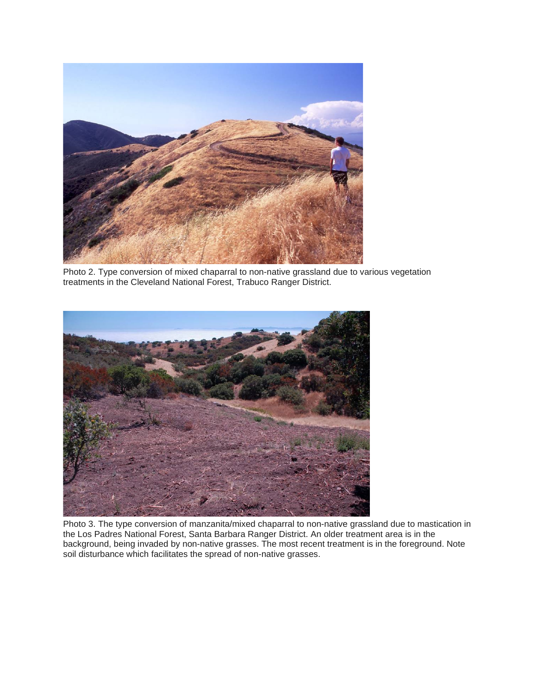

Photo 2. Type conversion of mixed chaparral to non-native grassland due to various vegetation treatments in the Cleveland National Forest, Trabuco Ranger District.



Photo 3. The type conversion of manzanita/mixed chaparral to non-native grassland due to mastication in the Los Padres National Forest, Santa Barbara Ranger District. An older treatment area is in the background, being invaded by non-native grasses. The most recent treatment is in the foreground. Note soil disturbance which facilitates the spread of non-native grasses.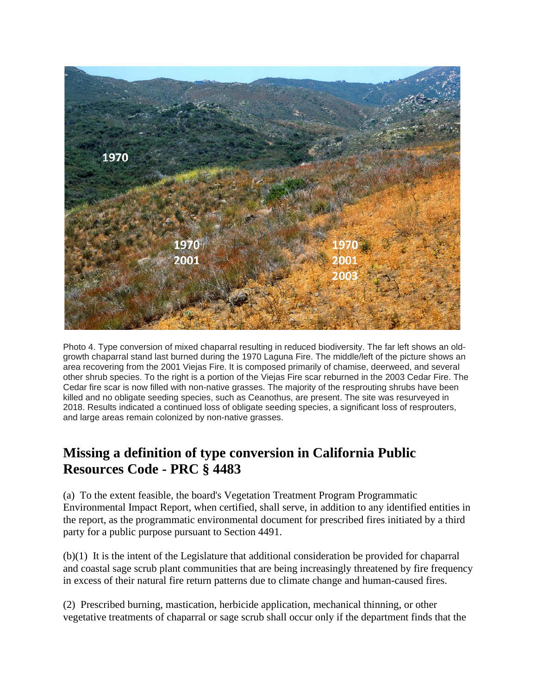

Photo 4. Type conversion of mixed chaparral resulting in reduced biodiversity. The far left shows an oldgrowth chaparral stand last burned during the 1970 Laguna Fire. The middle/left of the picture shows an area recovering from the 2001 Viejas Fire. It is composed primarily of chamise, deerweed, and several other shrub species. To the right is a portion of the Viejas Fire scar reburned in the 2003 Cedar Fire. The Cedar fire scar is now filled with non-native grasses. The majority of the resprouting shrubs have been killed and no obligate seeding species, such as Ceanothus, are present. The site was resurveyed in 2018. Results indicated a continued loss of obligate seeding species, a significant loss of resprouters, and large areas remain colonized by non-native grasses.

## **Missing a definition of type conversion in California Public Resources Code - PRC § 4483**

(a) To the extent feasible, the board's Vegetation Treatment Program Programmatic Environmental Impact Report, when certified, shall serve, in addition to any identified entities in the report, as the programmatic environmental document for prescribed fires initiated by a third party for a public purpose pursuant to Section 4491.

(b)(1) It is the intent of the Legislature that additional consideration be provided for chaparral and coastal sage scrub plant communities that are being increasingly threatened by fire frequency in excess of their natural fire return patterns due to climate change and human-caused fires.

(2) Prescribed burning, mastication, herbicide application, mechanical thinning, or other vegetative treatments of chaparral or sage scrub shall occur only if the department finds that the